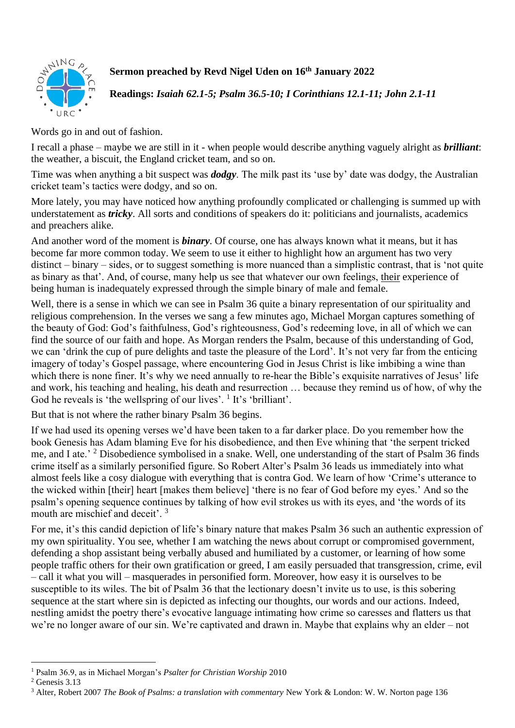

## **Sermon preached by Revd Nigel Uden on 16th January 2022**

**Readings:** *Isaiah 62.1-5; Psalm 36.5-10; I Corinthians 12.1-11; John 2.1-11*

Words go in and out of fashion.

I recall a phase – maybe we are still in it - when people would describe anything vaguely alright as *brilliant*: the weather, a biscuit, the England cricket team, and so on.

Time was when anything a bit suspect was *dodgy*. The milk past its 'use by' date was dodgy, the Australian cricket team's tactics were dodgy, and so on.

More lately, you may have noticed how anything profoundly complicated or challenging is summed up with understatement as *tricky*. All sorts and conditions of speakers do it: politicians and journalists, academics and preachers alike.

And another word of the moment is *binary*. Of course, one has always known what it means, but it has become far more common today. We seem to use it either to highlight how an argument has two very distinct – binary – sides, or to suggest something is more nuanced than a simplistic contrast, that is 'not quite as binary as that'. And, of course, many help us see that whatever our own feelings, their experience of being human is inadequately expressed through the simple binary of male and female.

Well, there is a sense in which we can see in Psalm 36 quite a binary representation of our spirituality and religious comprehension. In the verses we sang a few minutes ago, Michael Morgan captures something of the beauty of God: God's faithfulness, God's righteousness, God's redeeming love, in all of which we can find the source of our faith and hope. As Morgan renders the Psalm, because of this understanding of God, we can 'drink the cup of pure delights and taste the pleasure of the Lord'. It's not very far from the enticing imagery of today's Gospel passage, where encountering God in Jesus Christ is like imbibing a wine than which there is none finer. It's why we need annually to re-hear the Bible's exquisite narratives of Jesus' life and work, his teaching and healing, his death and resurrection … because they remind us of how, of why the God he reveals is 'the wellspring of our lives'.<sup>1</sup> It's 'brilliant'.

But that is not where the rather binary Psalm 36 begins.

If we had used its opening verses we'd have been taken to a far darker place. Do you remember how the book Genesis has Adam blaming Eve for his disobedience, and then Eve whining that 'the serpent tricked me, and I ate.' <sup>2</sup> Disobedience symbolised in a snake. Well, one understanding of the start of Psalm 36 finds crime itself as a similarly personified figure. So Robert Alter's Psalm 36 leads us immediately into what almost feels like a cosy dialogue with everything that is contra God. We learn of how 'Crime's utterance to the wicked within [their] heart [makes them believe] 'there is no fear of God before my eyes.' And so the psalm's opening sequence continues by talking of how evil strokes us with its eyes, and 'the words of its mouth are mischief and deceit'. <sup>3</sup>

For me, it's this candid depiction of life's binary nature that makes Psalm 36 such an authentic expression of my own spirituality. You see, whether I am watching the news about corrupt or compromised government, defending a shop assistant being verbally abused and humiliated by a customer, or learning of how some people traffic others for their own gratification or greed, I am easily persuaded that transgression, crime, evil – call it what you will – masquerades in personified form. Moreover, how easy it is ourselves to be susceptible to its wiles. The bit of Psalm 36 that the lectionary doesn't invite us to use, is this sobering sequence at the start where sin is depicted as infecting our thoughts, our words and our actions. Indeed, nestling amidst the poetry there's evocative language intimating how crime so caresses and flatters us that we're no longer aware of our sin. We're captivated and drawn in. Maybe that explains why an elder – not

<sup>1</sup> Psalm 36.9, as in Michael Morgan's *Psalter for Christian Worship* 2010

<sup>2</sup> Genesis 3.13

<sup>3</sup> Alter, Robert 2007 *The Book of Psalms: a translation with commentary* New York & London: W. W. Norton page 136